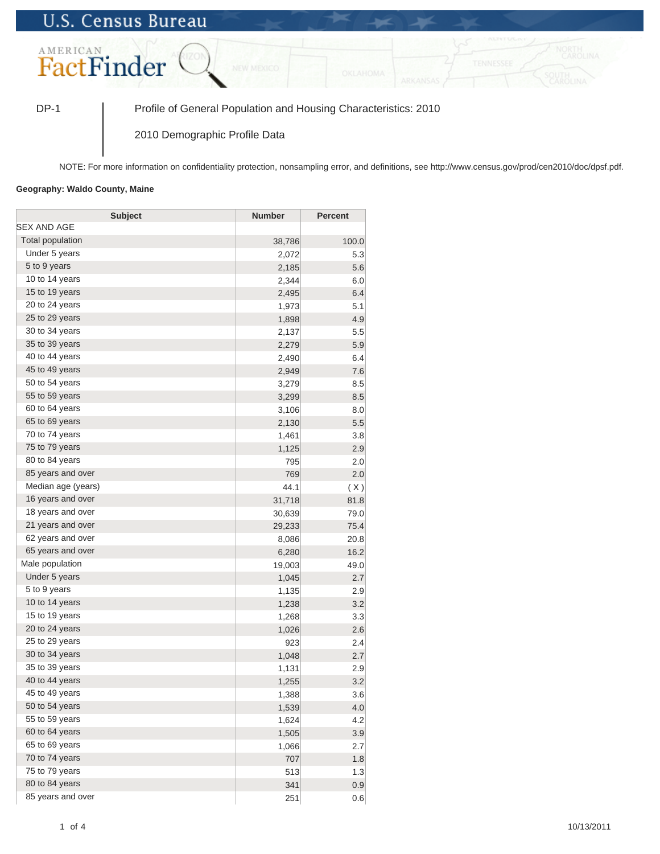## **U.S. Census Bureau**



DP-1 Profile of General Population and Housing Characteristics: 2010

2010 Demographic Profile Data

NOTE: For more information on confidentiality protection, nonsampling error, and definitions, see http://www.census.gov/prod/cen2010/doc/dpsf.pdf.

## **Geography: Waldo County, Maine**

| <b>Subject</b>     | <b>Number</b> | <b>Percent</b> |
|--------------------|---------------|----------------|
| SEX AND AGE        |               |                |
| Total population   | 38,786        | 100.0          |
| Under 5 years      | 2,072         | 5.3            |
| 5 to 9 years       | 2,185         | 5.6            |
| 10 to 14 years     | 2,344         | 6.0            |
| 15 to 19 years     | 2,495         | 6.4            |
| 20 to 24 years     | 1,973         | 5.1            |
| 25 to 29 years     | 1,898         | 4.9            |
| 30 to 34 years     | 2,137         | 5.5            |
| 35 to 39 years     | 2,279         | 5.9            |
| 40 to 44 years     | 2,490         | 6.4            |
| 45 to 49 years     | 2,949         | 7.6            |
| 50 to 54 years     | 3,279         | 8.5            |
| 55 to 59 years     | 3,299         | 8.5            |
| 60 to 64 years     | 3,106         | 8.0            |
| 65 to 69 years     | 2,130         | 5.5            |
| 70 to 74 years     | 1,461         | 3.8            |
| 75 to 79 years     | 1,125         | 2.9            |
| 80 to 84 years     | 795           | 2.0            |
| 85 years and over  | 769           | 2.0            |
| Median age (years) | 44.1          | (X)            |
| 16 years and over  | 31,718        | 81.8           |
| 18 years and over  | 30,639        | 79.0           |
| 21 years and over  | 29,233        | 75.4           |
| 62 years and over  | 8,086         | 20.8           |
| 65 years and over  | 6,280         | 16.2           |
| Male population    | 19,003        | 49.0           |
| Under 5 years      | 1,045         | 2.7            |
| 5 to 9 years       | 1,135         | 2.9            |
| 10 to 14 years     | 1,238         | 3.2            |
| 15 to 19 years     | 1,268         | 3.3            |
| 20 to 24 years     | 1,026         | 2.6            |
| 25 to 29 years     | 923           | 2.4            |
| 30 to 34 years     | 1,048         | 2.7            |
| 35 to 39 years     | 1,131         | 2.9            |
| 40 to 44 years     | 1,255         | 3.2            |
| 45 to 49 years     | 1,388         | 3.6            |
| 50 to 54 years     | 1,539         | 4.0            |
| 55 to 59 years     | 1,624         | 4.2            |
| 60 to 64 years     | 1,505         | 3.9            |
| 65 to 69 years     | 1,066         | 2.7            |
| 70 to 74 years     | 707           | 1.8            |
| 75 to 79 years     | 513           | 1.3            |
| 80 to 84 years     | 341           | 0.9            |
| 85 years and over  | 251           | 0.6            |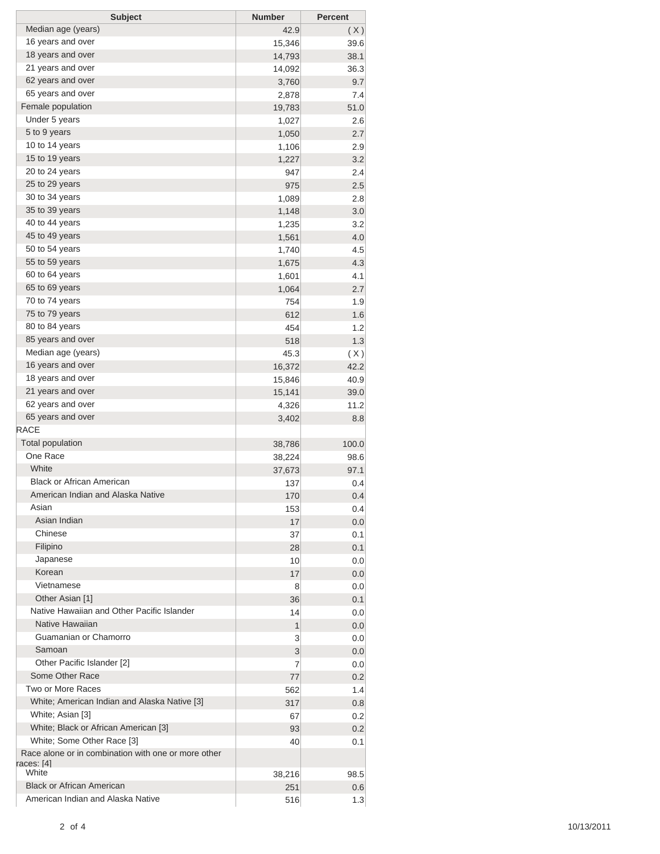| <b>Subject</b>                                      | <b>Number</b> | <b>Percent</b> |
|-----------------------------------------------------|---------------|----------------|
| Median age (years)                                  | 42.9          | (X)            |
| 16 years and over                                   | 15,346        | 39.6           |
| 18 years and over                                   | 14,793        | 38.1           |
| 21 years and over                                   | 14,092        | 36.3           |
| 62 years and over                                   | 3,760         | 9.7            |
| 65 years and over                                   | 2,878         | 7.4            |
| Female population                                   | 19,783        | 51.0           |
| Under 5 years                                       | 1,027         | 2.6            |
| 5 to 9 years                                        | 1,050         | 2.7            |
| 10 to 14 years                                      | 1,106         | 2.9            |
| 15 to 19 years                                      | 1,227         | 3.2            |
| 20 to 24 years                                      | 947           | 2.4            |
| 25 to 29 years                                      | 975           | 2.5            |
| 30 to 34 years                                      | 1,089         | 2.8            |
| 35 to 39 years                                      | 1,148         | 3.0            |
| 40 to 44 years                                      | 1,235         | 3.2            |
| 45 to 49 years                                      | 1,561         | 4.0            |
| 50 to 54 years                                      | 1,740         | 4.5            |
| 55 to 59 years                                      | 1,675         | 4.3            |
| 60 to 64 years                                      | 1,601         | 4.1            |
| 65 to 69 years                                      | 1,064         | 2.7            |
| 70 to 74 years                                      | 754           | 1.9            |
| 75 to 79 years                                      | 612           | 1.6            |
| 80 to 84 years                                      | 454           | 1.2            |
| 85 years and over                                   | 518           | 1.3            |
| Median age (years)                                  | 45.3          | (X)            |
| 16 years and over                                   | 16,372        | 42.2           |
| 18 years and over                                   | 15,846        | 40.9           |
| 21 years and over                                   | 15,141        |                |
| 62 years and over                                   |               | 39.0<br>11.2   |
| 65 years and over                                   | 4,326         |                |
| <b>RACE</b>                                         | 3,402         | 8.8            |
| <b>Total population</b>                             |               |                |
| One Race                                            | 38,786        | 100.0          |
| White                                               | 38,224        | 98.6           |
| <b>Black or African American</b>                    | 37,673        | 97.1           |
| American Indian and Alaska Native                   | 137           | 0.4            |
| Asian                                               | 170           | 0.4            |
| Asian Indian                                        | 153           | 0.4            |
|                                                     | 17            | 0.0            |
| Chinese                                             | 37            | 0.1            |
| Filipino                                            | 28            | 0.1            |
| Japanese                                            | 10            | 0.0            |
| Korean                                              | 17            | 0.0            |
| Vietnamese                                          | 8             | 0.0            |
| Other Asian [1]                                     | 36            | 0.1            |
| Native Hawaiian and Other Pacific Islander          | 14            | 0.0            |
| Native Hawaiian                                     | 1             | 0.0            |
| Guamanian or Chamorro                               | 3             | 0.0            |
| Samoan                                              | 3             | 0.0            |
| Other Pacific Islander [2]                          | 7             | 0.0            |
| Some Other Race                                     | 77            | 0.2            |
| Two or More Races                                   | 562           | 1.4            |
| White; American Indian and Alaska Native [3]        | 317           | 0.8            |
| White; Asian [3]                                    | 67            | 0.2            |
| White; Black or African American [3]                | 93            | 0.2            |
| White; Some Other Race [3]                          | 40            | 0.1            |
| Race alone or in combination with one or more other |               |                |
| races: [4]<br>White                                 |               |                |
| <b>Black or African American</b>                    | 38,216        | 98.5           |
| American Indian and Alaska Native                   | 251<br>516    | 0.6<br>1.3     |
|                                                     |               |                |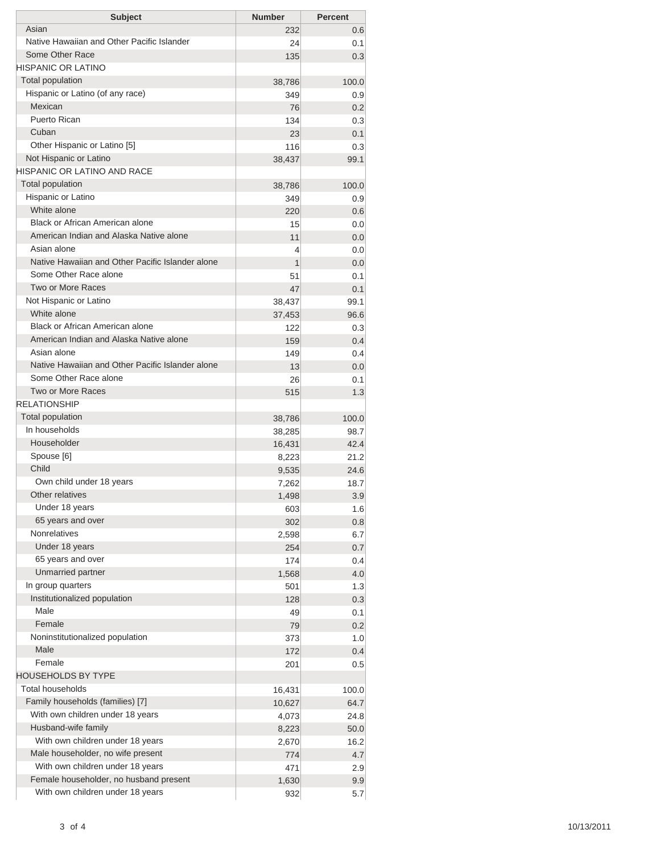| <b>Subject</b>                                   | <b>Number</b> | <b>Percent</b> |
|--------------------------------------------------|---------------|----------------|
| Asian                                            | 232           | 0.6            |
| Native Hawaiian and Other Pacific Islander       | 24            | 0.1            |
| Some Other Race                                  | 135           | 0.3            |
| HISPANIC OR LATINO                               |               |                |
| Total population                                 | 38,786        | 100.0          |
| Hispanic or Latino (of any race)                 | 349           | 0.9            |
| Mexican                                          | 76            | 0.2            |
| Puerto Rican                                     | 134           | 0.3            |
| Cuban                                            | 23            | 0.1            |
| Other Hispanic or Latino [5]                     | 116           | 0.3            |
| Not Hispanic or Latino                           | 38,437        | 99.1           |
| HISPANIC OR LATINO AND RACE                      |               |                |
| <b>Total population</b>                          | 38,786        | 100.0          |
| Hispanic or Latino                               | 349           | 0.9            |
| White alone                                      | 220           | 0.6            |
| <b>Black or African American alone</b>           | 15            | 0.0            |
| American Indian and Alaska Native alone          | 11            | 0.0            |
| Asian alone                                      | 4             | 0.0            |
| Native Hawaiian and Other Pacific Islander alone | 1             | 0.0            |
| Some Other Race alone<br>Two or More Races       | 51            | 0.1            |
|                                                  | 47            | 0.1            |
| Not Hispanic or Latino<br>White alone            | 38,437        | 99.1           |
| <b>Black or African American alone</b>           | 37,453        | 96.6           |
| American Indian and Alaska Native alone          | 122           | 0.3            |
| Asian alone                                      | 159           | 0.4            |
| Native Hawaiian and Other Pacific Islander alone | 149           | 0.4            |
| Some Other Race alone                            | 13            | 0.0            |
| Two or More Races                                | 26            | 0.1            |
| <b>RELATIONSHIP</b>                              | 515           | 1.3            |
| Total population                                 | 38,786        | 100.0          |
| In households                                    | 38,285        | 98.7           |
| Householder                                      | 16,431        | 42.4           |
| Spouse [6]                                       | 8,223         | 21.2           |
| Child                                            | 9,535         | 24.6           |
| Own child under 18 years                         | 7,262         | 18.7           |
| Other relatives                                  | 1,498         | 3.9            |
| Under 18 years                                   | 603           | 1.6            |
| 65 years and over                                | 302           | 0.8            |
| Nonrelatives                                     | 2,598         | 6.7            |
| Under 18 years                                   | 254           | 0.7            |
| 65 years and over                                | 174           | 0.4            |
| <b>Unmarried partner</b>                         | 1,568         | 4.0            |
| In group quarters                                | 501           | 1.3            |
| Institutionalized population                     | 128           | 0.3            |
| Male                                             | 49            | 0.1            |
| Female                                           | 79            | 0.2            |
| Noninstitutionalized population                  | 373           | 1.0            |
| Male                                             | 172           | 0.4            |
| Female                                           | 201           | 0.5            |
| <b>HOUSEHOLDS BY TYPE</b>                        |               |                |
| <b>Total households</b>                          | 16,431        | 100.0          |
| Family households (families) [7]                 | 10,627        | 64.7           |
| With own children under 18 years                 | 4,073         | 24.8           |
| Husband-wife family                              | 8,223         | 50.0           |
| With own children under 18 years                 | 2,670         | 16.2           |
| Male householder, no wife present                | 774           | 4.7            |
| With own children under 18 years                 | 471           | 2.9            |
| Female householder, no husband present           | 1,630         | 9.9            |
| With own children under 18 years                 | 932           | 5.7            |